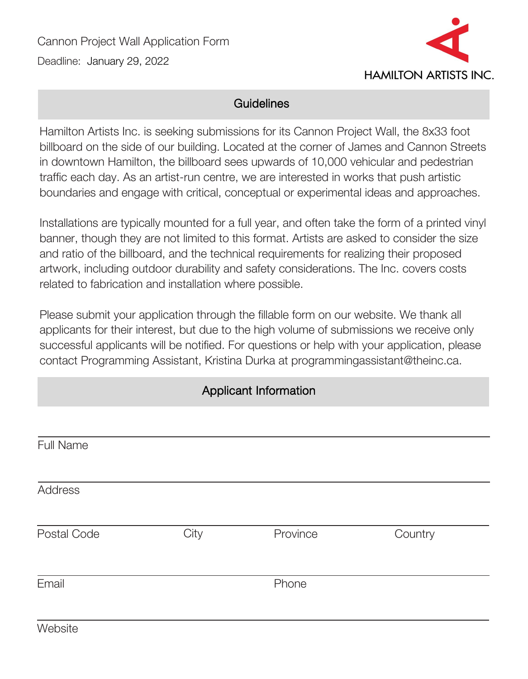

### **Guidelines**

Hamilton Artists Inc. is seeking submissions for its Cannon Project Wall, the 8x33 foot billboard on the side of our building. Located at the corner of James and Cannon Streets in downtown Hamilton, the billboard sees upwards of 10,000 vehicular and pedestrian traffic each day. As an artist-run centre, we are interested in works that push artistic boundaries and engage with critical, conceptual or experimental ideas and approaches.

Installations are typically mounted for a full year, and often take the form of a printed vinyl banner, though they are not limited to this format. Artists are asked to consider the size and ratio of the billboard, and the technical requirements for realizing their proposed artwork, including outdoor durability and safety considerations. The Inc. covers costs related to fabrication and installation where possible.

Please submit your application through the fillable form on our website. We thank all applicants for their interest, but due to the high volume of submissions we receive only successful applicants will be notified. For questions or help with your application, please contact Programming Assistant, Kristina Durka at programmingassistant@theinc.ca.

### Applicant Information

| Full Name      |      |          |         |
|----------------|------|----------|---------|
| <b>Address</b> |      |          |         |
| Postal Code    | City | Province | Country |
| Email          |      | Phone    |         |
| Website        |      |          |         |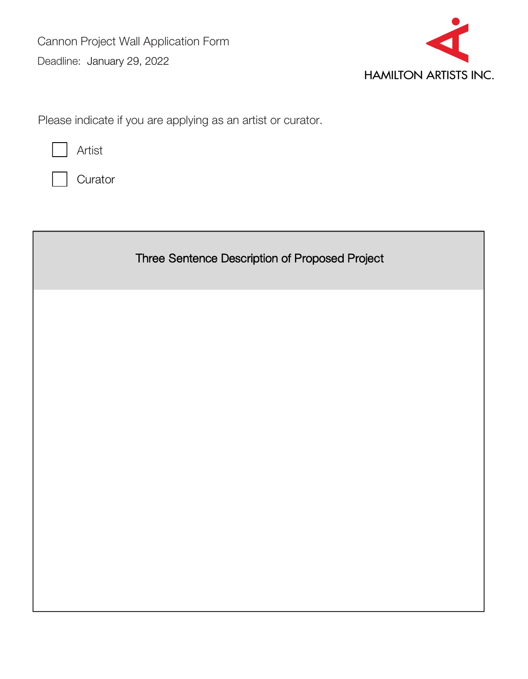

Please indicate if you are applying as an artist or curator.



**Curator** 

Three Sentence Description of Proposed Project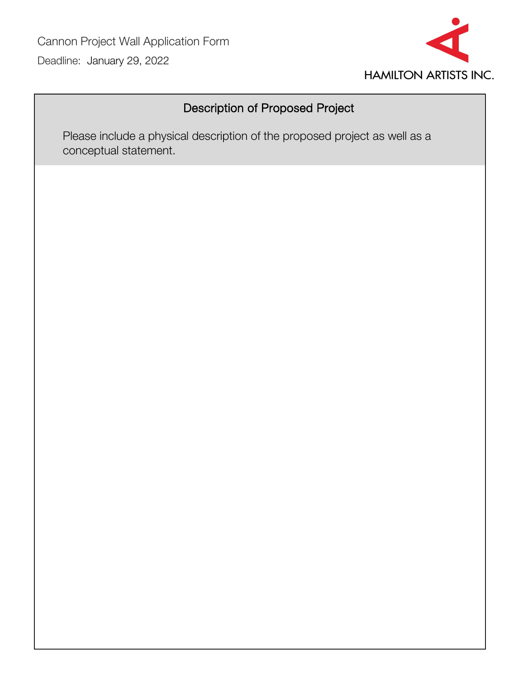

# Description of Proposed Project

Please include a physical description of the proposed project as well as a conceptual statement.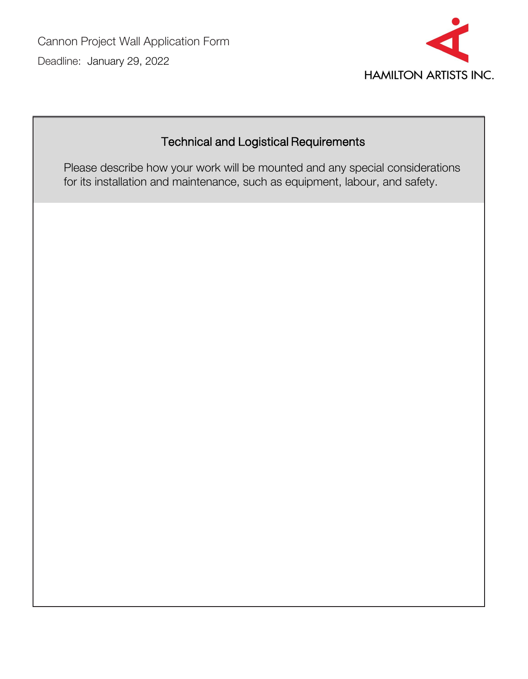

# Technical and Logistical Requirements

Please describe how your work will be mounted and any special considerations for its installation and maintenance, such as equipment, labour, and safety.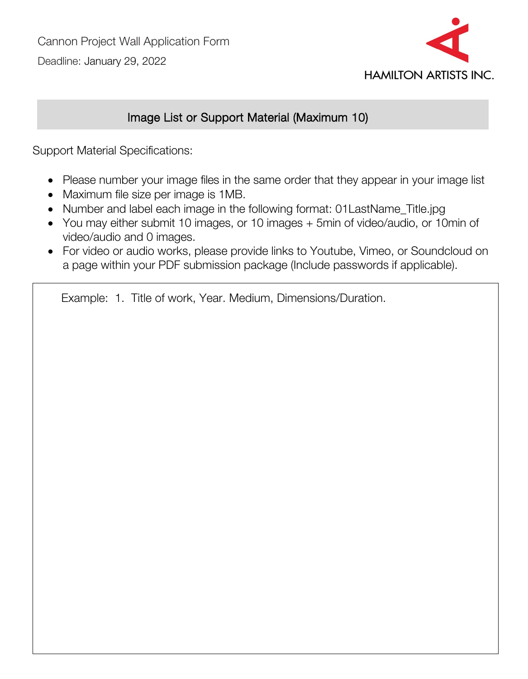

## Image List or Support Material (Maximum 10)

Support Material Specifications:

- Please number your image files in the same order that they appear in your image list
- Maximum file size per image is 1MB.
- Number and label each image in the following format: 01LastName\_Title.jpg
- You may either submit 10 images, or 10 images + 5min of video/audio, or 10min of video/audio and 0 images.
- For video or audio works, please provide links to Youtube, Vimeo, or Soundcloud on a page within your PDF submission package (Include passwords if applicable).

Example: 1. Title of work, Year. Medium, Dimensions/Duration.